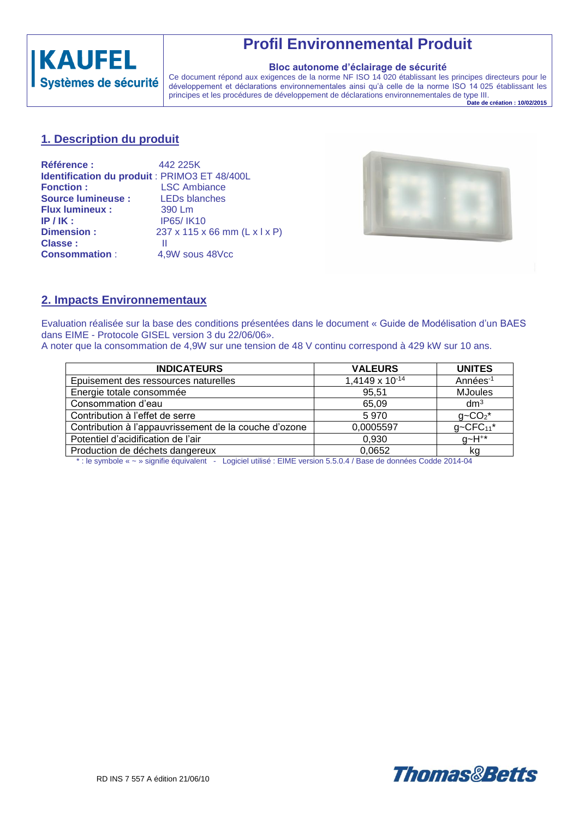

## **Profil Environnemental Produit**

#### **Bloc autonome d'éclairage de sécurité**

Ce document répond aux exigences de la norme NF ISO 14 020 établissant les principes directeurs pour le développement et déclarations environnementales ainsi qu'à celle de la norme ISO 14 025 établissant les principes et les procédures de développement de déclarations environnementales de type III.

**Date de création : 10/02/2015**

#### **1. Description du produit**

| <b>Référence:</b>                             | 442 225K                      |
|-----------------------------------------------|-------------------------------|
| Identification du produit : PRIMO3 ET 48/400L |                               |
| <b>Fonction:</b>                              | <b>LSC Ambiance</b>           |
| <b>Source lumineuse:</b>                      | <b>LEDs blanches</b>          |
| <b>Flux lumineux:</b>                         | 390 Lm                        |
| $IP/IK$ :                                     | <b>IP65/IK10</b>              |
| <b>Dimension:</b>                             | 237 x 115 x 66 mm (L x l x P) |
| Classe:                                       | Ш                             |
| <b>Consommation:</b>                          | 4,9W sous 48Vcc               |



### **2. Impacts Environnementaux**

Evaluation réalisée sur la base des conditions présentées dans le document « Guide de Modélisation d'un BAES dans EIME - Protocole GISEL version 3 du 22/06/06».

A noter que la consommation de 4,9W sur une tension de 48 V continu correspond à 429 kW sur 10 ans.

| <b>INDICATEURS</b>                                    | <b>VALEURS</b> | <b>UNITES</b>       |
|-------------------------------------------------------|----------------|---------------------|
| Epuisement des ressources naturelles                  | 1,4149 x 10-14 | Années-1            |
| Energie totale consommée                              | 95,51          | <b>MJoules</b>      |
| Consommation d'eau                                    | 65,09          | dm <sup>3</sup>     |
| Contribution à l'effet de serre                       | 5970           | $g - CO2*$          |
| Contribution à l'appauvrissement de la couche d'ozone | 0,0005597      | $q \sim CFC_{11}^*$ |
| Potentiel d'acidification de l'air                    | 0,930          | $g - H^{**}$        |
| Production de déchets dangereux                       | 0,0652         | kq                  |

\* : le symbole « ~ » signifie équivalent - Logiciel utilisé : EIME version 5.5.0.4 / Base de données Codde 2014-04